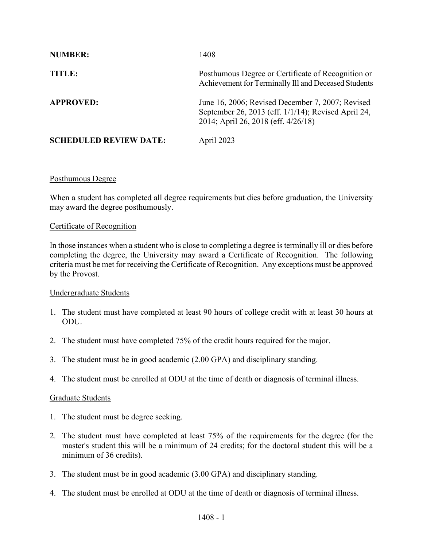| <b>NUMBER:</b>                | 1408                                                                                                                                           |
|-------------------------------|------------------------------------------------------------------------------------------------------------------------------------------------|
| TITLE:                        | Posthumous Degree or Certificate of Recognition or<br>Achievement for Terminally III and Deceased Students                                     |
| <b>APPROVED:</b>              | June 16, 2006; Revised December 7, 2007; Revised<br>September 26, 2013 (eff. 1/1/14); Revised April 24,<br>2014; April 26, 2018 (eff. 4/26/18) |
| <b>SCHEDULED REVIEW DATE:</b> | April 2023                                                                                                                                     |

## Posthumous Degree

When a student has completed all degree requirements but dies before graduation, the University may award the degree posthumously.

#### Certificate of Recognition

In those instances when a student who is close to completing a degree is terminally ill or dies before completing the degree, the University may award a Certificate of Recognition. The following criteria must be met for receiving the Certificate of Recognition. Any exceptions must be approved by the Provost.

#### Undergraduate Students

- 1. The student must have completed at least 90 hours of college credit with at least 30 hours at ODU.
- 2. The student must have completed 75% of the credit hours required for the major.
- 3. The student must be in good academic (2.00 GPA) and disciplinary standing.
- 4. The student must be enrolled at ODU at the time of death or diagnosis of terminal illness.

## Graduate Students

- 1. The student must be degree seeking.
- 2. The student must have completed at least 75% of the requirements for the degree (for the master's student this will be a minimum of 24 credits; for the doctoral student this will be a minimum of 36 credits).
- 3. The student must be in good academic (3.00 GPA) and disciplinary standing.
- 4. The student must be enrolled at ODU at the time of death or diagnosis of terminal illness.